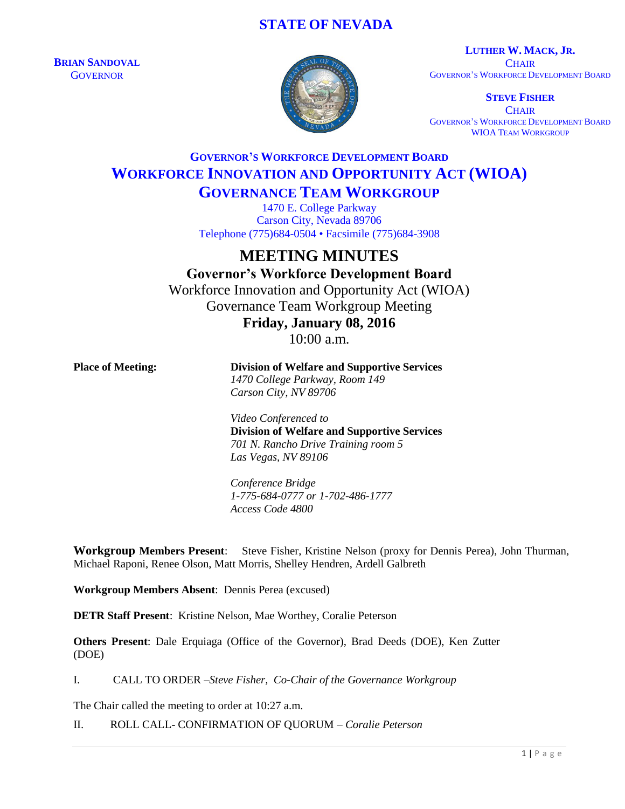## **STATE OF NEVADA**

**BRIAN SANDOVAL GOVERNOR** 



**LUTHER W. MACK, JR. CHAIR** GOVERNOR'S WORKFORCE DEVELOPMENT BOARD

**STEVE FISHER CHAIR** GOVERNOR'S WORKFORCE DEVELOPMENT BOARD WIOA TEAM WORKGROUP

## **GOVERNOR'S WORKFORCE DEVELOPMENT BOARD WORKFORCE INNOVATION AND OPPORTUNITY ACT (WIOA)**

**GOVERNANCE TEAM WORKGROUP**

1470 E. College Parkway Carson City, Nevada 89706 Telephone (775)684-0504 • Facsimile (775)684-3908

# **MEETING MINUTES**

**Governor's Workforce Development Board** Workforce Innovation and Opportunity Act (WIOA) Governance Team Workgroup Meeting **Friday, January 08, 2016**

10:00 a.m.

**Place of Meeting: Division of Welfare and Supportive Services** *1470 College Parkway, Room 149 Carson City, NV 89706*

> *Video Conferenced to* **Division of Welfare and Supportive Services** *701 N. Rancho Drive Training room 5 Las Vegas, NV 89106*

*Conference Bridge 1-775-684-0777 or 1-702-486-1777 Access Code 4800*

**Workgroup Members Present**: Steve Fisher, Kristine Nelson (proxy for Dennis Perea), John Thurman, Michael Raponi, Renee Olson, Matt Morris, Shelley Hendren, Ardell Galbreth

**Workgroup Members Absent**: Dennis Perea (excused)

**DETR Staff Present**: Kristine Nelson, Mae Worthey, Coralie Peterson

**Others Present**: Dale Erquiaga (Office of the Governor), Brad Deeds (DOE), Ken Zutter (DOE)

I. CALL TO ORDER –*Steve Fisher, Co-Chair of the Governance Workgroup*

The Chair called the meeting to order at 10:27 a.m.

II. ROLL CALL- CONFIRMATION OF QUORUM – *Coralie Peterson*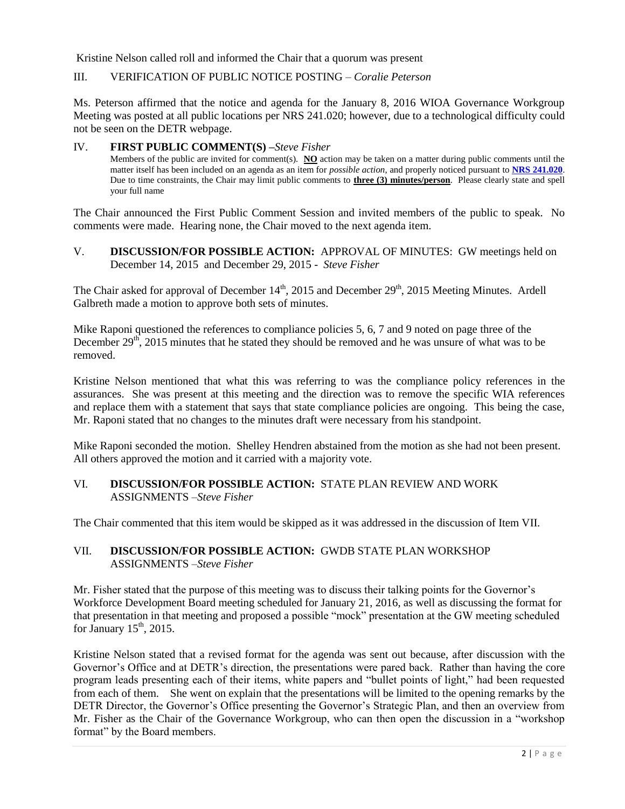Kristine Nelson called roll and informed the Chair that a quorum was present

### III. VERIFICATION OF PUBLIC NOTICE POSTING – *Coralie Peterson*

Ms. Peterson affirmed that the notice and agenda for the January 8, 2016 WIOA Governance Workgroup Meeting was posted at all public locations per NRS 241.020; however, due to a technological difficulty could not be seen on the DETR webpage.

### IV. **FIRST PUBLIC COMMENT(S) –***Steve Fisher*

Members of the public are invited for comment(s). **NO** action may be taken on a matter during public comments until the matter itself has been included on an agenda as an item for *possible action*, and properly noticed pursuant to **[NRS 241.020](http://www.leg.state.nv.us/NRS/NRS-241.html#NRS241Sec020)**. Due to time constraints, the Chair may limit public comments to **three (3) minutes/person**. Please clearly state and spell your full name

The Chair announced the First Public Comment Session and invited members of the public to speak. No comments were made. Hearing none, the Chair moved to the next agenda item.

V. **DISCUSSION/FOR POSSIBLE ACTION:** APPROVAL OF MINUTES: GW meetings held on December 14, 2015 and December 29, 2015 - *Steve Fisher*

The Chair asked for approval of December 14<sup>th</sup>, 2015 and December 29<sup>th</sup>, 2015 Meeting Minutes. Ardell Galbreth made a motion to approve both sets of minutes.

Mike Raponi questioned the references to compliance policies 5, 6, 7 and 9 noted on page three of the December  $29<sup>th</sup>$ , 2015 minutes that he stated they should be removed and he was unsure of what was to be removed.

Kristine Nelson mentioned that what this was referring to was the compliance policy references in the assurances. She was present at this meeting and the direction was to remove the specific WIA references and replace them with a statement that says that state compliance policies are ongoing. This being the case, Mr. Raponi stated that no changes to the minutes draft were necessary from his standpoint.

Mike Raponi seconded the motion. Shelley Hendren abstained from the motion as she had not been present. All others approved the motion and it carried with a majority vote.

## VI. **DISCUSSION/FOR POSSIBLE ACTION:** STATE PLAN REVIEW AND WORK ASSIGNMENTS –*Steve Fisher*

The Chair commented that this item would be skipped as it was addressed in the discussion of Item VII.

## VII. **DISCUSSION/FOR POSSIBLE ACTION:** GWDB STATE PLAN WORKSHOP ASSIGNMENTS –*Steve Fisher*

Mr. Fisher stated that the purpose of this meeting was to discuss their talking points for the Governor's Workforce Development Board meeting scheduled for January 21, 2016, as well as discussing the format for that presentation in that meeting and proposed a possible "mock" presentation at the GW meeting scheduled for January  $15<sup>th</sup>$ , 2015.

Kristine Nelson stated that a revised format for the agenda was sent out because, after discussion with the Governor's Office and at DETR's direction, the presentations were pared back. Rather than having the core program leads presenting each of their items, white papers and "bullet points of light," had been requested from each of them. She went on explain that the presentations will be limited to the opening remarks by the DETR Director, the Governor's Office presenting the Governor's Strategic Plan, and then an overview from Mr. Fisher as the Chair of the Governance Workgroup, who can then open the discussion in a "workshop format" by the Board members.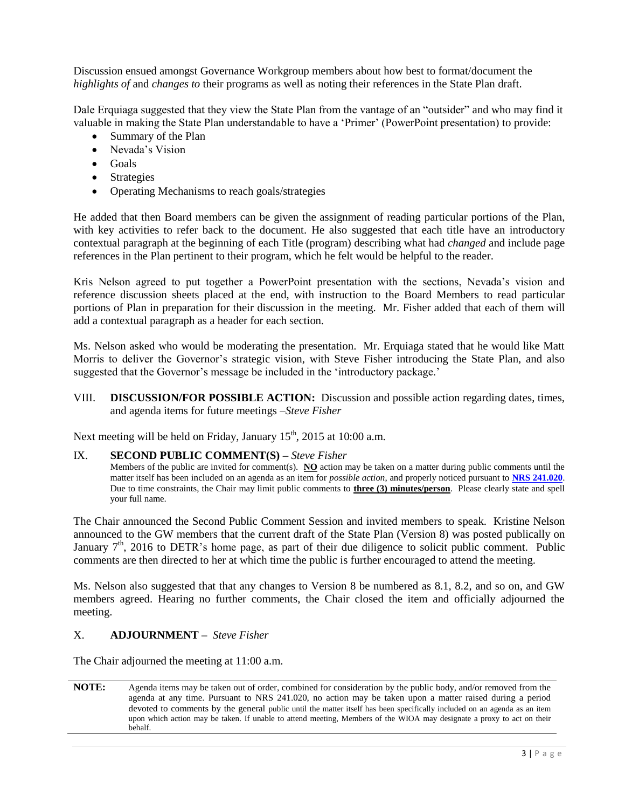Discussion ensued amongst Governance Workgroup members about how best to format/document the *highlights of* and *changes to* their programs as well as noting their references in the State Plan draft.

Dale Erquiaga suggested that they view the State Plan from the vantage of an "outsider" and who may find it valuable in making the State Plan understandable to have a 'Primer' (PowerPoint presentation) to provide:

- Summary of the Plan
- Nevada's Vision
- $\bullet$  Goals
- Strategies
- Operating Mechanisms to reach goals/strategies

He added that then Board members can be given the assignment of reading particular portions of the Plan, with key activities to refer back to the document. He also suggested that each title have an introductory contextual paragraph at the beginning of each Title (program) describing what had *changed* and include page references in the Plan pertinent to their program, which he felt would be helpful to the reader.

Kris Nelson agreed to put together a PowerPoint presentation with the sections, Nevada's vision and reference discussion sheets placed at the end, with instruction to the Board Members to read particular portions of Plan in preparation for their discussion in the meeting. Mr. Fisher added that each of them will add a contextual paragraph as a header for each section.

Ms. Nelson asked who would be moderating the presentation. Mr. Erquiaga stated that he would like Matt Morris to deliver the Governor's strategic vision, with Steve Fisher introducing the State Plan, and also suggested that the Governor's message be included in the 'introductory package.'

VIII. **DISCUSSION/FOR POSSIBLE ACTION:** Discussion and possible action regarding dates, times, and agenda items for future meetings –*Steve Fisher*

Next meeting will be held on Friday, January  $15<sup>th</sup>$ , 2015 at 10:00 a.m.

#### IX. **SECOND PUBLIC COMMENT(S) –** *Steve Fisher*

Members of the public are invited for comment(s). **NO** action may be taken on a matter during public comments until the matter itself has been included on an agenda as an item for *possible action*, and properly noticed pursuant to **[NRS 241.020](http://www.leg.state.nv.us/NRS/NRS-241.html#NRS241Sec020)**. Due to time constraints, the Chair may limit public comments to **three (3) minutes/person**. Please clearly state and spell your full name.

The Chair announced the Second Public Comment Session and invited members to speak. Kristine Nelson announced to the GW members that the current draft of the State Plan (Version 8) was posted publically on January  $7<sup>th</sup>$ , 2016 to DETR's home page, as part of their due diligence to solicit public comment. Public comments are then directed to her at which time the public is further encouraged to attend the meeting.

Ms. Nelson also suggested that that any changes to Version 8 be numbered as 8.1, 8.2, and so on, and GW members agreed. Hearing no further comments, the Chair closed the item and officially adjourned the meeting.

### X. **ADJOURNMENT –** *Steve Fisher*

The Chair adjourned the meeting at 11:00 a.m.

**NOTE:** Agenda items may be taken out of order, combined for consideration by the public body, and/or removed from the agenda at any time. Pursuant to NRS 241.020, no action may be taken upon a matter raised during a period devoted to comments by the general public until the matter itself has been specifically included on an agenda as an item upon which action may be taken. If unable to attend meeting, Members of the WIOA may designate a proxy to act on their behalf.